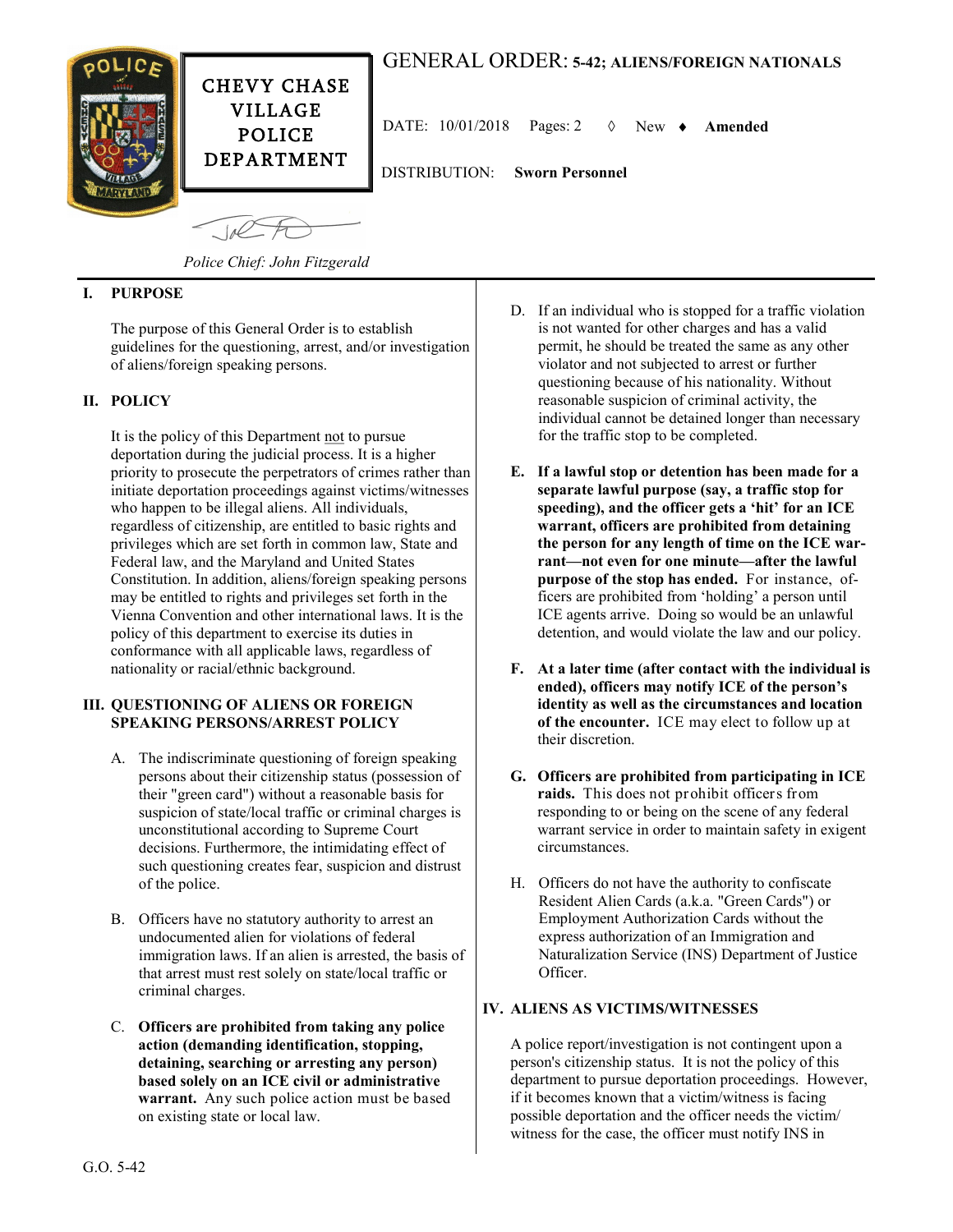

# GENERAL ORDER: **5-42; ALIENS/FOREIGN NATIONALS**

DATE:  $10/01/2018$  Pages: 2  $\Diamond$  New  $\triangle$  **Amended** 

DEPARTMENT DISTRIBUTION: **Sworn Personnel**

 $100$ 

*Police Chief: John Fitzgerald*

CHEVY CHASE VILLAGE POLICE

## **I. PURPOSE**

The purpose of this General Order is to establish guidelines for the questioning, arrest, and/or investigation of aliens/foreign speaking persons.

### **II. POLICY**

It is the policy of this Department not to pursue deportation during the judicial process. It is a higher priority to prosecute the perpetrators of crimes rather than initiate deportation proceedings against victims/witnesses who happen to be illegal aliens. All individuals, regardless of citizenship, are entitled to basic rights and privileges which are set forth in common law, State and Federal law, and the Maryland and United States Constitution. In addition, aliens/foreign speaking persons may be entitled to rights and privileges set forth in the Vienna Convention and other international laws. It is the policy of this department to exercise its duties in conformance with all applicable laws, regardless of nationality or racial/ethnic background.

#### **III. QUESTIONING OF ALIENS OR FOREIGN SPEAKING PERSONS/ARREST POLICY**

- A. The indiscriminate questioning of foreign speaking persons about their citizenship status (possession of their "green card") without a reasonable basis for suspicion of state/local traffic or criminal charges is unconstitutional according to Supreme Court decisions. Furthermore, the intimidating effect of such questioning creates fear, suspicion and distrust of the police.
- B. Officers have no statutory authority to arrest an undocumented alien for violations of federal immigration laws. If an alien is arrested, the basis of that arrest must rest solely on state/local traffic or criminal charges.
- C. **Officers are prohibited from taking any police action (demanding identification, stopping, detaining, searching or arresting any person) based solely on an ICE civil or administrative warrant.** Any such police action must be based on existing state or local law.
- D. If an individual who is stopped for a traffic violation is not wanted for other charges and has a valid permit, he should be treated the same as any other violator and not subjected to arrest or further questioning because of his nationality. Without reasonable suspicion of criminal activity, the individual cannot be detained longer than necessary for the traffic stop to be completed.
- **E. If a lawful stop or detention has been made for a separate lawful purpose (say, a traffic stop for speeding), and the officer gets a 'hit' for an ICE warrant, officers are prohibited from detaining the person for any length of time on the ICE warrant—not even for one minute—after the lawful purpose of the stop has ended.** For instance, officers are prohibited from 'holding' a person until ICE agents arrive. Doing so would be an unlawful detention, and would violate the law and our policy.
- **F. At a later time (after contact with the individual is ended), officers may notify ICE of the person's identity as well as the circumstances and location of the encounter.** ICE may elect to follow up at their discretion.
- **G. Officers are prohibited from participating in ICE raids.** This does not prohibit officers from responding to or being on the scene of any federal warrant service in order to maintain safety in exigent circumstances.
- H. Officers do not have the authority to confiscate Resident Alien Cards (a.k.a. "Green Cards") or Employment Authorization Cards without the express authorization of an Immigration and Naturalization Service (INS) Department of Justice Officer.

#### **IV. ALIENS AS VICTIMS/WITNESSES**

A police report/investigation is not contingent upon a person's citizenship status. It is not the policy of this department to pursue deportation proceedings. However, if it becomes known that a victim/witness is facing possible deportation and the officer needs the victim/ witness for the case, the officer must notify INS in